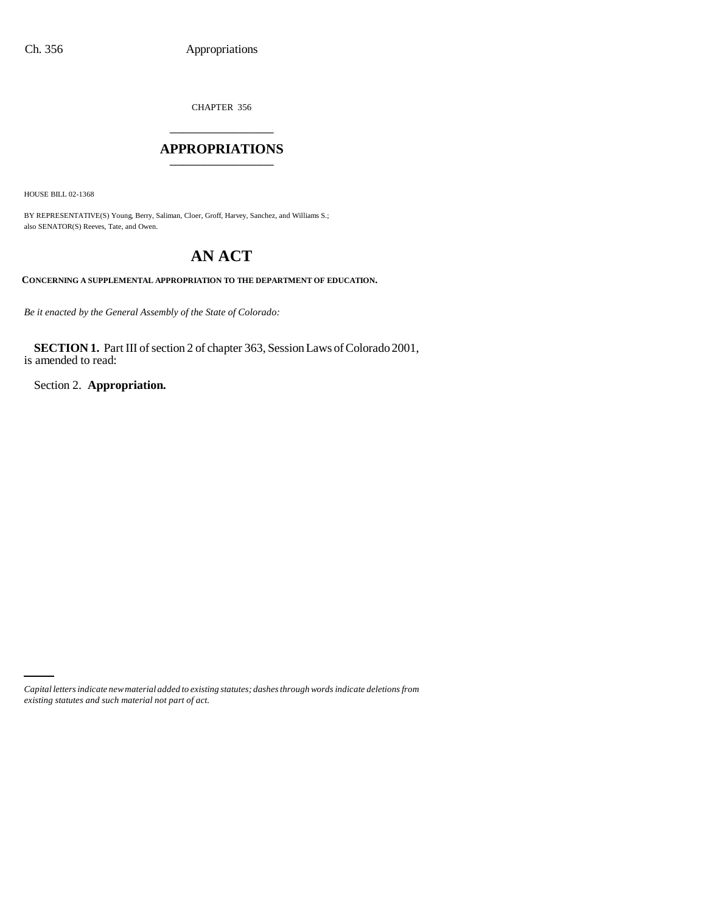CHAPTER 356 \_\_\_\_\_\_\_\_\_\_\_\_\_\_\_

### **APPROPRIATIONS** \_\_\_\_\_\_\_\_\_\_\_\_\_\_\_

HOUSE BILL 02-1368

BY REPRESENTATIVE(S) Young, Berry, Saliman, Cloer, Groff, Harvey, Sanchez, and Williams S.; also SENATOR(S) Reeves, Tate, and Owen.

# **AN ACT**

**CONCERNING A SUPPLEMENTAL APPROPRIATION TO THE DEPARTMENT OF EDUCATION.**

*Be it enacted by the General Assembly of the State of Colorado:*

**SECTION 1.** Part III of section 2 of chapter 363, Session Laws of Colorado 2001, is amended to read:

Section 2. **Appropriation.**

*Capital letters indicate new material added to existing statutes; dashes through words indicate deletions from existing statutes and such material not part of act.*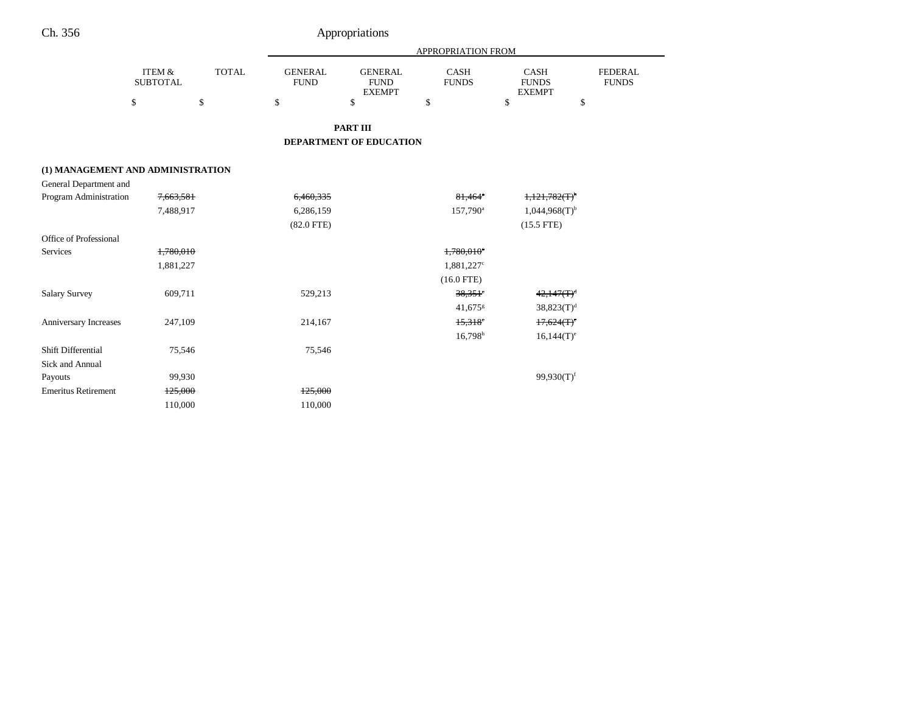| Appropriations |
|----------------|
|                |

|                                   |                           |              |                               |                                                | APPROPRIATION FROM          |                                              |                                |
|-----------------------------------|---------------------------|--------------|-------------------------------|------------------------------------------------|-----------------------------|----------------------------------------------|--------------------------------|
|                                   | ITEM &<br><b>SUBTOTAL</b> | <b>TOTAL</b> | <b>GENERAL</b><br><b>FUND</b> | <b>GENERAL</b><br><b>FUND</b><br><b>EXEMPT</b> | <b>CASH</b><br><b>FUNDS</b> | <b>CASH</b><br><b>FUNDS</b><br><b>EXEMPT</b> | <b>FEDERAL</b><br><b>FUNDS</b> |
|                                   | \$                        | \$           | \$                            | \$                                             | \$                          | \$<br>\$                                     |                                |
|                                   |                           |              |                               | <b>PART III</b>                                |                             |                                              |                                |
|                                   |                           |              |                               | <b>DEPARTMENT OF EDUCATION</b>                 |                             |                                              |                                |
| (1) MANAGEMENT AND ADMINISTRATION |                           |              |                               |                                                |                             |                                              |                                |
| General Department and            |                           |              |                               |                                                |                             |                                              |                                |
| <b>Program Administration</b>     | 7,663,581                 |              | 6,460,335                     |                                                | $81,464$ <sup>*</sup>       | 1,121,782(T)                                 |                                |
|                                   | 7,488,917                 |              | 6,286,159                     |                                                | 157,790 <sup>a</sup>        | $1,044,968(T)$ <sup>b</sup>                  |                                |
|                                   |                           |              | $(82.0$ FTE)                  |                                                |                             | $(15.5$ FTE)                                 |                                |
| Office of Professional            |                           |              |                               |                                                |                             |                                              |                                |
| <b>Services</b>                   | 1,780,010                 |              |                               |                                                | 1,780,010 <sup>c</sup>      |                                              |                                |
|                                   | 1,881,227                 |              |                               |                                                | 1,881,227 <sup>c</sup>      |                                              |                                |
|                                   |                           |              |                               |                                                | $(16.0$ FTE)                |                                              |                                |
| <b>Salary Survey</b>              | 609,711                   |              | 529,213                       |                                                | $38,351$ <sup>c</sup>       | $42,147(T)^d$                                |                                |
|                                   |                           |              |                               |                                                | 41,675 $s$                  | $38,823(T)^{d}$                              |                                |
| <b>Anniversary Increases</b>      | 247,109                   |              | 214,167                       |                                                | $15,318$ °                  | $17,624(T)$ <sup>e</sup>                     |                                |
|                                   |                           |              |                               |                                                | $16,798$ <sup>h</sup>       | $16,144(T)^e$                                |                                |
| Shift Differential                | 75,546                    |              | 75,546                        |                                                |                             |                                              |                                |
| <b>Sick and Annual</b>            |                           |              |                               |                                                |                             |                                              |                                |
| Payouts                           | 99,930                    |              |                               |                                                |                             | $99,930(T)$ <sup>f</sup>                     |                                |
| <b>Emeritus Retirement</b>        | 125,000                   |              | 125,000                       |                                                |                             |                                              |                                |
|                                   | 110,000                   |              | 110,000                       |                                                |                             |                                              |                                |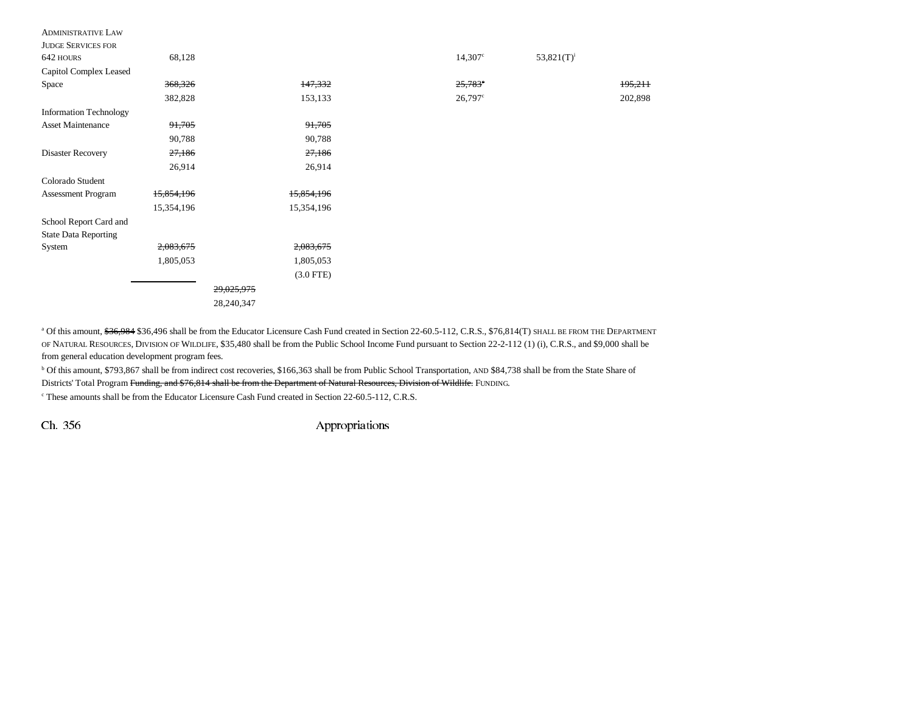| <b>ADMINISTRATIVE LAW</b>     |            |            |             |                  |                  |         |
|-------------------------------|------------|------------|-------------|------------------|------------------|---------|
| <b>JUDGE SERVICES FOR</b>     |            |            |             |                  |                  |         |
| 642 HOURS                     | 68,128     |            |             | $14,307^{\circ}$ | 53,821 $(T)^{i}$ |         |
| Capitol Complex Leased        |            |            |             |                  |                  |         |
| Space                         | 368,326    |            | 147,332     | $25,783^{\circ}$ |                  | 195,211 |
|                               | 382,828    |            | 153,133     | $26,797$ °       |                  | 202,898 |
| <b>Information Technology</b> |            |            |             |                  |                  |         |
| <b>Asset Maintenance</b>      | 91,705     |            | 91,705      |                  |                  |         |
|                               | 90,788     |            | 90,788      |                  |                  |         |
| Disaster Recovery             | 27,186     |            | 27,186      |                  |                  |         |
|                               | 26,914     |            | 26,914      |                  |                  |         |
| Colorado Student              |            |            |             |                  |                  |         |
| Assessment Program            | 15,854,196 |            | 15,854,196  |                  |                  |         |
|                               | 15,354,196 |            | 15,354,196  |                  |                  |         |
| School Report Card and        |            |            |             |                  |                  |         |
| <b>State Data Reporting</b>   |            |            |             |                  |                  |         |
| System                        | 2,083,675  |            | 2,083,675   |                  |                  |         |
|                               | 1,805,053  |            | 1,805,053   |                  |                  |         |
|                               |            |            | $(3.0$ FTE) |                  |                  |         |
|                               |            | 29,025,975 |             |                  |                  |         |
|                               |            | 28,240,347 |             |                  |                  |         |

<sup>a</sup> Of this amount, <del>\$36,984</del> \$36,496 shall be from the Educator Licensure Cash Fund created in Section 22-60.5-112, C.R.S., \$76,814(T) SHALL BE FROM THE DEPARTMENT OF NATURAL RESOURCES, DIVISION OF WILDLIFE, \$35,480 shall be from the Public School Income Fund pursuant to Section 22-2-112 (1) (i), C.R.S., and \$9,000 shall be from general education development program fees.

b Of this amount, \$793,867 shall be from indirect cost recoveries, \$166,363 shall be from Public School Transportation, AND \$84,738 shall be from the State Share of Districts' Total Program Funding, and \$76,814 shall be from the Department of Natural Resources, Division of Wildlife. FUNDING.

<sup>c</sup> These amounts shall be from the Educator Licensure Cash Fund created in Section 22-60.5-112, C.R.S.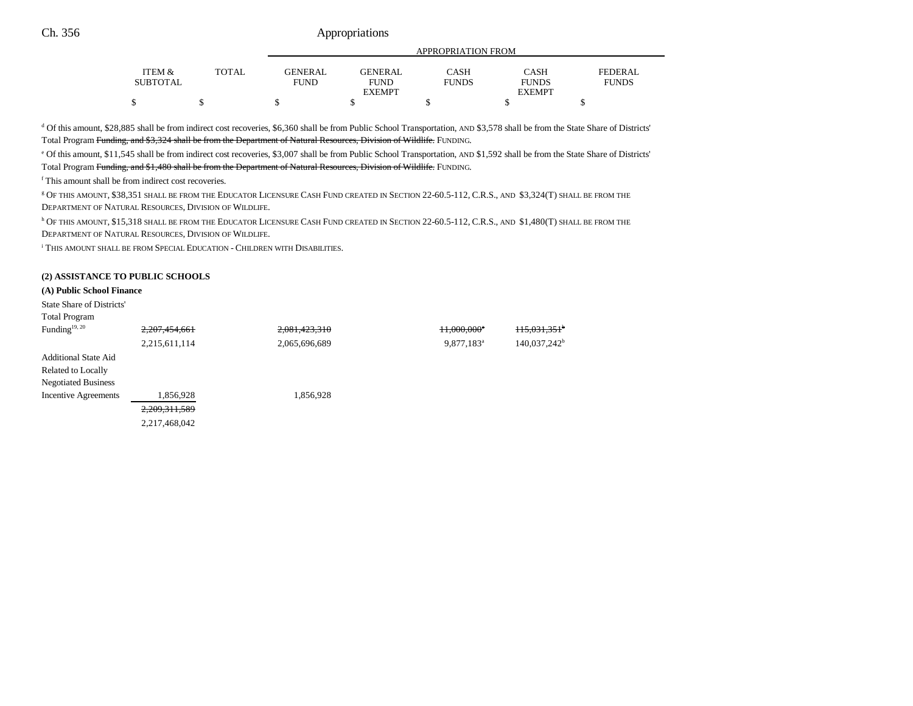|                   |              | APPROPRIATION FROM |                |              |               |              |  |
|-------------------|--------------|--------------------|----------------|--------------|---------------|--------------|--|
|                   |              |                    |                |              |               |              |  |
| <b>ITEM &amp;</b> | <b>TOTAL</b> | <b>GENERAL</b>     | <b>GENERAL</b> | CASH         | CASH          | FEDERAL      |  |
| <b>SUBTOTAL</b>   |              | FUND               | <b>FUND</b>    | <b>FUNDS</b> | <b>FUNDS</b>  | <b>FUNDS</b> |  |
|                   |              |                    | <b>EXEMPT</b>  |              | <b>EXEMPT</b> |              |  |
| ሖ<br>J            |              |                    |                |              |               |              |  |

d Of this amount, \$28,885 shall be from indirect cost recoveries, \$6,360 shall be from Public School Transportation, AND \$3,578 shall be from the State Share of Districts' Total Program Funding, and \$3,324 shall be from the Department of Natural Resources, Division of Wildlife. FUNDING.

e Of this amount, \$11,545 shall be from indirect cost recoveries, \$3,007 shall be from Public School Transportation, AND \$1,592 shall be from the State Share of Districts' Total Program Funding, and \$1,480 shall be from the Department of Natural Resources, Division of Wildlife. FUNDING.

f This amount shall be from indirect cost recoveries.

g OF THIS AMOUNT, \$38,351 SHALL BE FROM THE EDUCATOR LICENSURE CASH FUND CREATED IN SECTION 22-60.5-112, C.R.S., AND \$3,324(T) SHALL BE FROM THE DEPARTMENT OF NATURAL RESOURCES, DIVISION OF WILDLIFE.

h OF THIS AMOUNT, \$15,318 SHALL BE FROM THE EDUCATOR LICENSURE CASH FUND CREATED IN SECTION 22-60.5-112, C.R.S., AND \$1,480(T) SHALL BE FROM THE DEPARTMENT OF NATURAL RESOURCES, DIVISION OF WILDLIFE.

i THIS AMOUNT SHALL BE FROM SPECIAL EDUCATION - CHILDREN WITH DISABILITIES.

#### **(2) ASSISTANCE TO PUBLIC SCHOOLS**

#### **(A) Public School Finance**

| State Share of Districts'<br><b>Total Program</b> |               |               |                         |                            |
|---------------------------------------------------|---------------|---------------|-------------------------|----------------------------|
| Funding <sup>19, 20</sup>                         | 2,207,454,661 | 2,081,423,310 | 11,000,000 <sup>e</sup> | $+15,031,351$ <sup>b</sup> |
|                                                   | 2,215,611,114 | 2,065,696,689 | $9,877,183^a$           | 140,037,242 <sup>b</sup>   |
| <b>Additional State Aid</b>                       |               |               |                         |                            |
| Related to Locally                                |               |               |                         |                            |
| <b>Negotiated Business</b>                        |               |               |                         |                            |
| <b>Incentive Agreements</b>                       | 1,856,928     | 1,856,928     |                         |                            |
|                                                   | 2,209,311,589 |               |                         |                            |
|                                                   | 2,217,468,042 |               |                         |                            |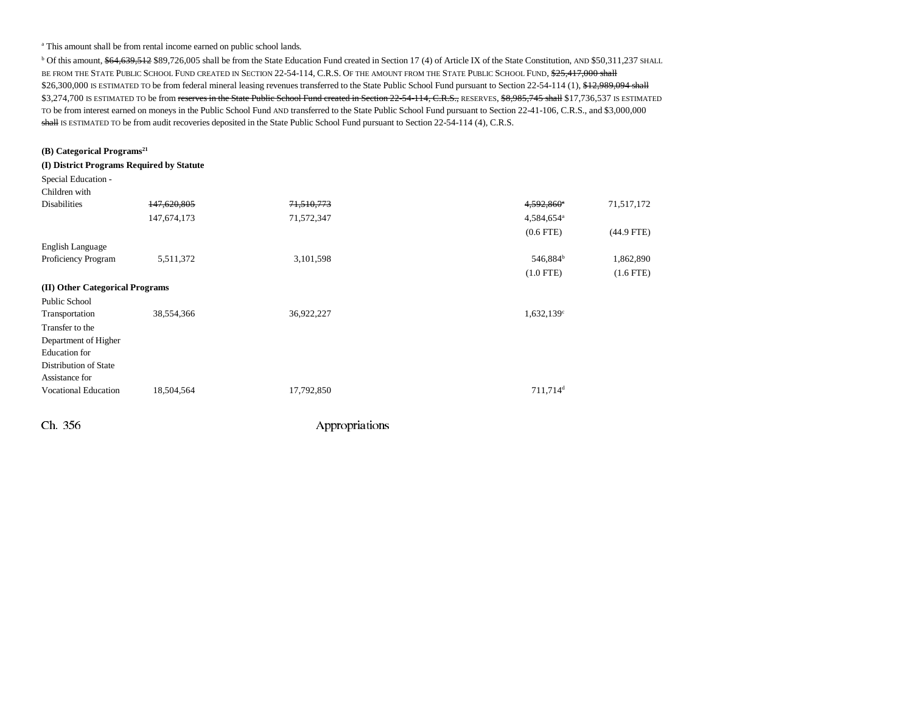<sup>a</sup> This amount shall be from rental income earned on public school lands.

<sup>b</sup> Of this amount, \$64,639,512 \$89,726,005 shall be from the State Education Fund created in Section 17 (4) of Article IX of the State Constitution, AND \$50,311,237 SHALL be from the State Public School Fund created in Section 22-54-114, C.R.S. Of the amount from the State Public School Fund, \$<del>25,417,000 shall</del> \$26,300,000 IS ESTIMATED TO be from federal mineral leasing revenues transferred to the State Public School Fund pursuant to Section 22-54-114 (1), \$12,989,094 shall \$3,274,700 IS ESTIMATED TO be from reserves in the State Public School Fund created in Section 22-54-114, C.R.S., RESERVES, \$8,985,745 shall \$17,736,537 IS ESTIMATED TO be from interest earned on moneys in the Public School Fund AND transferred to the State Public School Fund pursuant to Section 22-41-106, C.R.S., and \$3,000,000 shall is estimated to be from audit recoveries deposited in the State Public School Fund pursuant to Section 22-54-114 (4), C.R.S.

| (B) Categorical Programs <sup>21</sup>    |             |            |                          |                |
|-------------------------------------------|-------------|------------|--------------------------|----------------|
| (I) District Programs Required by Statute |             |            |                          |                |
| Special Education -                       |             |            |                          |                |
| Children with                             |             |            |                          |                |
| <b>Disabilities</b>                       | 147,620,805 | 71,510,773 | 4,592,860 <sup>a</sup>   | 71,517,172     |
|                                           | 147,674,173 | 71,572,347 | 4,584,654 <sup>a</sup>   |                |
|                                           |             |            | $(0.6$ FTE $)$           | $(44.9$ FTE)   |
| English Language                          |             |            |                          |                |
| Proficiency Program                       | 5,511,372   | 3,101,598  | 546,884 <sup>b</sup>     | 1,862,890      |
|                                           |             |            | $(1.0$ FTE)              | $(1.6$ FTE $)$ |
| (II) Other Categorical Programs           |             |            |                          |                |
| <b>Public School</b>                      |             |            |                          |                |
| Transportation                            | 38,554,366  | 36,922,227 | $1,632,139$ <sup>c</sup> |                |
| Transfer to the                           |             |            |                          |                |
| Department of Higher                      |             |            |                          |                |
| <b>Education</b> for                      |             |            |                          |                |
| Distribution of State                     |             |            |                          |                |
| Assistance for                            |             |            |                          |                |
| <b>Vocational Education</b>               | 18,504,564  | 17,792,850 | 711,714 <sup>d</sup>     |                |
|                                           |             |            |                          |                |
|                                           |             |            |                          |                |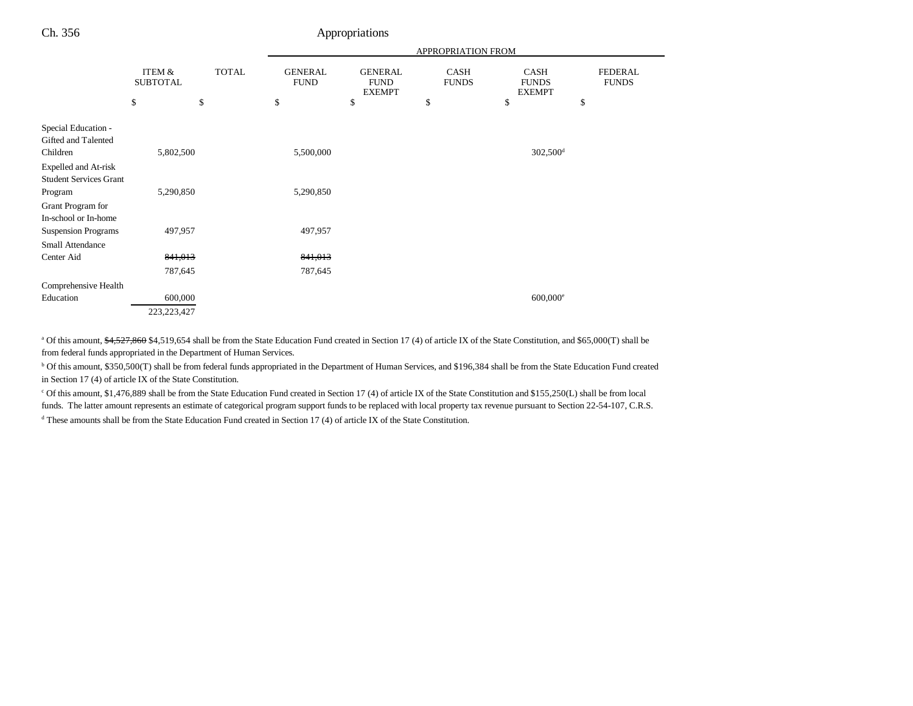|                                            |                           |              | APPROPRIATION FROM            |                                                |                             |                                       |                                |
|--------------------------------------------|---------------------------|--------------|-------------------------------|------------------------------------------------|-----------------------------|---------------------------------------|--------------------------------|
|                                            | ITEM &<br><b>SUBTOTAL</b> | <b>TOTAL</b> | <b>GENERAL</b><br><b>FUND</b> | <b>GENERAL</b><br><b>FUND</b><br><b>EXEMPT</b> | <b>CASH</b><br><b>FUNDS</b> | CASH<br><b>FUNDS</b><br><b>EXEMPT</b> | <b>FEDERAL</b><br><b>FUNDS</b> |
|                                            | \$                        | \$           | \$                            | \$                                             | \$                          | \$                                    | \$                             |
| Special Education -<br>Gifted and Talented |                           |              |                               |                                                |                             |                                       |                                |
| Children                                   | 5,802,500                 |              | 5,500,000                     |                                                |                             | $302,500$ <sup>d</sup>                |                                |
| Expelled and At-risk                       |                           |              |                               |                                                |                             |                                       |                                |
| <b>Student Services Grant</b>              |                           |              |                               |                                                |                             |                                       |                                |
| Program                                    | 5,290,850                 |              | 5,290,850                     |                                                |                             |                                       |                                |
| Grant Program for                          |                           |              |                               |                                                |                             |                                       |                                |
| In-school or In-home                       |                           |              |                               |                                                |                             |                                       |                                |
| <b>Suspension Programs</b>                 | 497,957                   |              | 497,957                       |                                                |                             |                                       |                                |
| <b>Small Attendance</b>                    |                           |              |                               |                                                |                             |                                       |                                |
| Center Aid                                 | 841,013                   |              | 841,013                       |                                                |                             |                                       |                                |
|                                            | 787,645                   |              | 787,645                       |                                                |                             |                                       |                                |
| Comprehensive Health                       |                           |              |                               |                                                |                             |                                       |                                |
| Education                                  | 600,000                   |              |                               |                                                |                             | $600,000$ <sup>e</sup>                |                                |
|                                            | 223, 223, 427             |              |                               |                                                |                             |                                       |                                |

<sup>a</sup> Of this amount, \$4,527,860 \$4,519,654 shall be from the State Education Fund created in Section 17 (4) of article IX of the State Constitution, and \$65,000(T) shall be from federal funds appropriated in the Department of Human Services.

b Of this amount, \$350,500(T) shall be from federal funds appropriated in the Department of Human Services, and \$196,384 shall be from the State Education Fund created in Section 17 (4) of article IX of the State Constitution.

c Of this amount, \$1,476,889 shall be from the State Education Fund created in Section 17 (4) of article IX of the State Constitution and \$155,250(L) shall be from local funds. The latter amount represents an estimate of categorical program support funds to be replaced with local property tax revenue pursuant to Section 22-54-107, C.R.S.

 $d$  These amounts shall be from the State Education Fund created in Section 17 (4) of article IX of the State Constitution.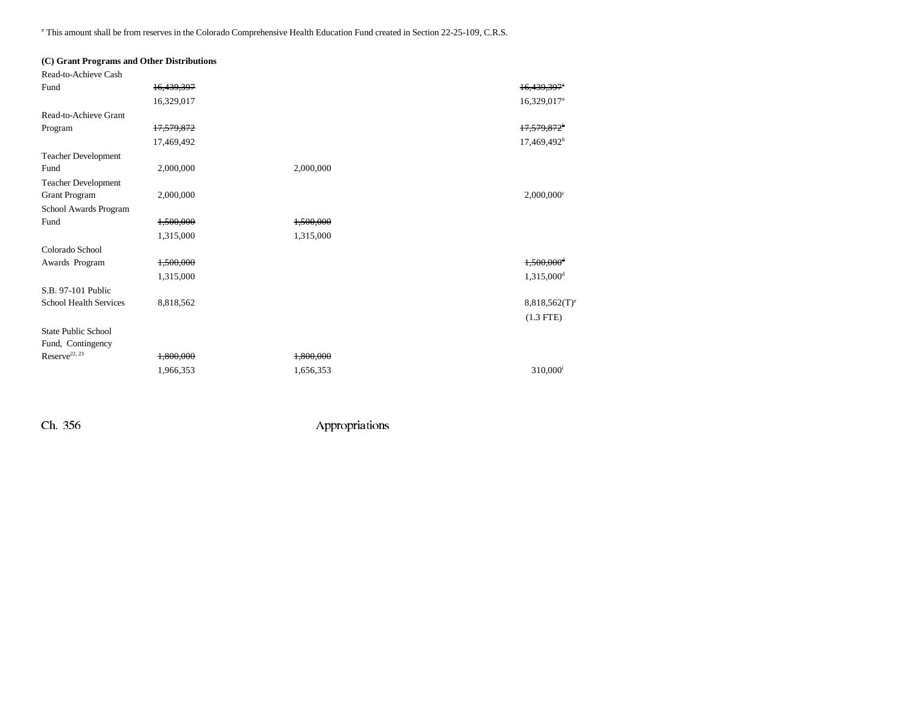e This amount shall be from reserves in the Colorado Comprehensive Health Education Fund created in Section 22-25-109, C.R.S.

| (C) Grant Programs and Other Distributions |            |           |                          |
|--------------------------------------------|------------|-----------|--------------------------|
| Read-to-Achieve Cash                       |            |           |                          |
| Fund                                       | 16,439,397 |           | 16,439,397 <sup>e</sup>  |
|                                            | 16,329,017 |           | 16,329,017 <sup>a</sup>  |
| Read-to-Achieve Grant                      |            |           |                          |
| Program                                    | 17,579,872 |           | 17,579,872 <sup>b</sup>  |
|                                            | 17,469,492 |           | 17,469,492 <sup>b</sup>  |
| <b>Teacher Development</b>                 |            |           |                          |
| Fund                                       | 2,000,000  | 2,000,000 |                          |
| <b>Teacher Development</b>                 |            |           |                          |
| <b>Grant Program</b>                       | 2,000,000  |           | $2,000,000$ <sup>c</sup> |
| School Awards Program                      |            |           |                          |
| Fund                                       | 1,500,000  | 1,500,000 |                          |
|                                            | 1,315,000  | 1,315,000 |                          |
| Colorado School                            |            |           |                          |
| Awards Program                             | 1,500,000  |           | 1,500,000 <sup>d</sup>   |
|                                            | 1,315,000  |           | $1,315,000$ <sup>d</sup> |
| S.B. 97-101 Public                         |            |           |                          |
| School Health Services                     | 8,818,562  |           | $8,818,562(T)^e$         |
|                                            |            |           | $(1.3$ FTE)              |
| <b>State Public School</b>                 |            |           |                          |
| Fund, Contingency                          |            |           |                          |
| Reserve <sup>22, 23</sup>                  | 1,800,000  | 1,800,000 |                          |
|                                            | 1,966,353  | 1,656,353 | 310,000 <sup>i</sup>     |
|                                            |            |           |                          |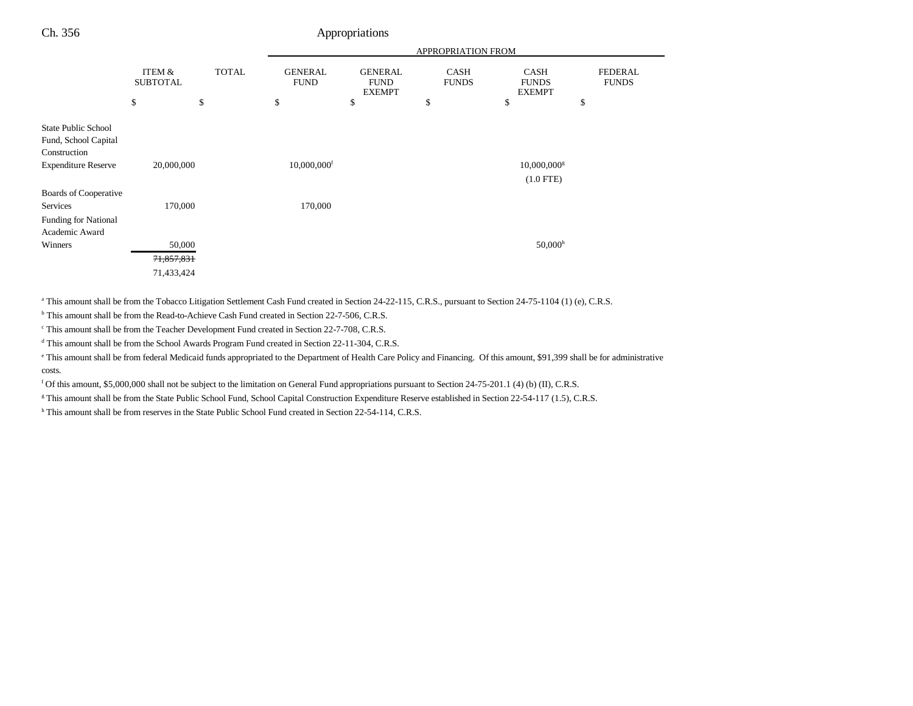|                                                                    |                                 |                    |                                     |                                                      | APPROPRIATION FROM         |                                                    |                                      |
|--------------------------------------------------------------------|---------------------------------|--------------------|-------------------------------------|------------------------------------------------------|----------------------------|----------------------------------------------------|--------------------------------------|
|                                                                    | ITEM &<br><b>SUBTOTAL</b><br>\$ | <b>TOTAL</b><br>\$ | <b>GENERAL</b><br><b>FUND</b><br>\$ | <b>GENERAL</b><br><b>FUND</b><br><b>EXEMPT</b><br>\$ | CASH<br><b>FUNDS</b><br>\$ | <b>CASH</b><br><b>FUNDS</b><br><b>EXEMPT</b><br>\$ | <b>FEDERAL</b><br><b>FUNDS</b><br>\$ |
|                                                                    |                                 |                    |                                     |                                                      |                            |                                                    |                                      |
| <b>State Public School</b><br>Fund, School Capital<br>Construction |                                 |                    |                                     |                                                      |                            |                                                    |                                      |
| <b>Expenditure Reserve</b>                                         | 20,000,000                      |                    | $10,000,000$ <sup>f</sup>           |                                                      |                            | $10,000,000$ <sup>g</sup>                          |                                      |
|                                                                    |                                 |                    |                                     |                                                      |                            | $(1.0$ FTE)                                        |                                      |
| Boards of Cooperative                                              |                                 |                    |                                     |                                                      |                            |                                                    |                                      |
| Services                                                           | 170,000                         |                    | 170,000                             |                                                      |                            |                                                    |                                      |
| <b>Funding for National</b>                                        |                                 |                    |                                     |                                                      |                            |                                                    |                                      |
| Academic Award                                                     |                                 |                    |                                     |                                                      |                            |                                                    |                                      |
| Winners                                                            | 50,000                          |                    |                                     |                                                      |                            | $50,000$ <sup>h</sup>                              |                                      |
|                                                                    | 71,857,831                      |                    |                                     |                                                      |                            |                                                    |                                      |
|                                                                    | 71,433,424                      |                    |                                     |                                                      |                            |                                                    |                                      |

<sup>a</sup> This amount shall be from the Tobacco Litigation Settlement Cash Fund created in Section 24-22-115, C.R.S., pursuant to Section 24-75-1104 (1) (e), C.R.S.

<sup>b</sup> This amount shall be from the Read-to-Achieve Cash Fund created in Section 22-7-506, C.R.S.

<sup>c</sup> This amount shall be from the Teacher Development Fund created in Section 22-7-708, C.R.S.

d This amount shall be from the School Awards Program Fund created in Section 22-11-304, C.R.S.

e This amount shall be from federal Medicaid funds appropriated to the Department of Health Care Policy and Financing. Of this amount, \$91,399 shall be for administrative costs.

f Of this amount, \$5,000,000 shall not be subject to the limitation on General Fund appropriations pursuant to Section 24-75-201.1 (4) (b) (II), C.R.S.

<sup>g</sup> This amount shall be from the State Public School Fund, School Capital Construction Expenditure Reserve established in Section 22-54-117 (1.5), C.R.S.

h This amount shall be from reserves in the State Public School Fund created in Section 22-54-114, C.R.S.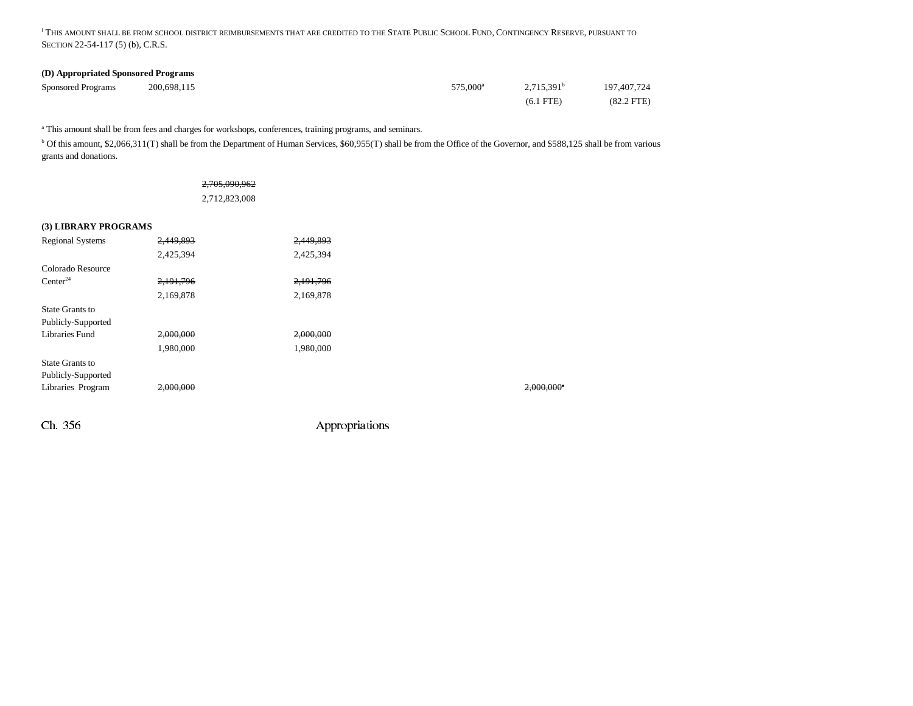i THIS AMOUNT SHALL BE FROM SCHOOL DISTRICT REIMBURSEMENTS THAT ARE CREDITED TO THE STATE PUBLIC SCHOOL FUND, CONTINGENCY RESERVE, PURSUANT TO SECTION 22-54-117 (5) (b), C.R.S.

#### **(D) Appropriated Sponsored Programs**

| Sponsored Programs | 200.698.115 |  | 575,000 <sup>a</sup> | $2,715,391^{\rm b}$ | 197,407,724  |
|--------------------|-------------|--|----------------------|---------------------|--------------|
|                    |             |  |                      | $(6.1$ FTE $)$      | $(82.2$ FTE) |

<sup>a</sup> This amount shall be from fees and charges for workshops, conferences, training programs, and seminars.

b Of this amount, \$2,066,311(T) shall be from the Department of Human Services, \$60,955(T) shall be from the Office of the Governor, and \$588,125 shall be from various grants and donations.

|                         | 2,705,090,962 |           |           |
|-------------------------|---------------|-----------|-----------|
|                         | 2,712,823,008 |           |           |
| (3) LIBRARY PROGRAMS    |               |           |           |
| <b>Regional Systems</b> | 2,449,893     | 2,449,893 |           |
|                         | 2,425,394     | 2,425,394 |           |
| Colorado Resource       |               |           |           |
| Center <sup>24</sup>    | 2, 191, 796   | 2,191,796 |           |
|                         | 2,169,878     | 2,169,878 |           |
| State Grants to         |               |           |           |
| Publicly-Supported      |               |           |           |
| <b>Libraries Fund</b>   | 2,000,000     | 2,000,000 |           |
|                         | 1,980,000     | 1,980,000 |           |
| State Grants to         |               |           |           |
| Publicly-Supported      |               |           |           |
| Libraries Program       | 2,000,000     |           | 2,000,000 |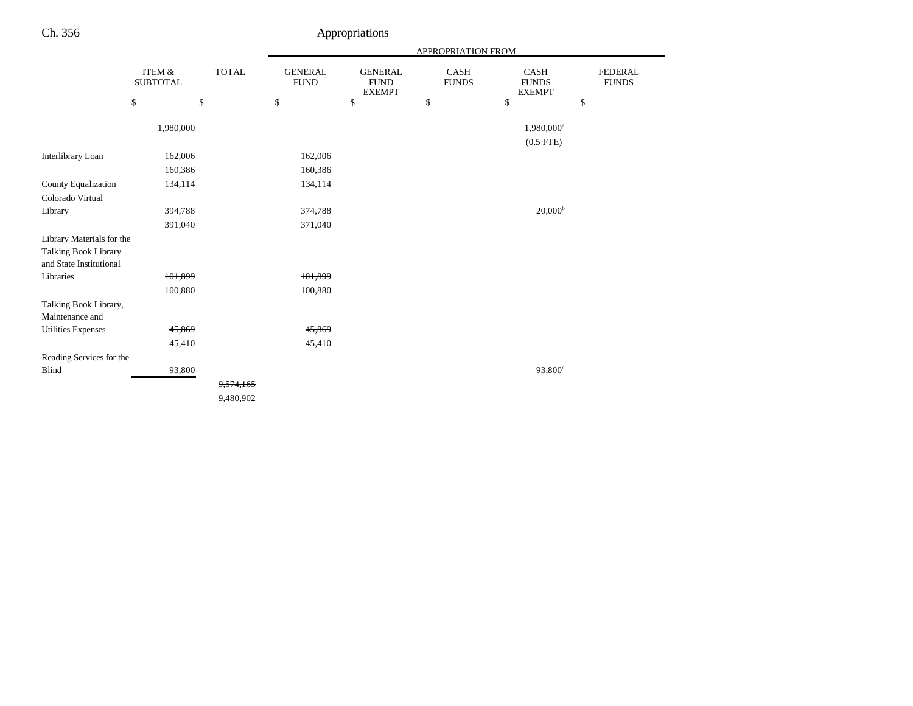| Ch. 356                                                                      |                           |              |                               | Appropriations                                 |                             |                                              |                                |
|------------------------------------------------------------------------------|---------------------------|--------------|-------------------------------|------------------------------------------------|-----------------------------|----------------------------------------------|--------------------------------|
|                                                                              |                           |              |                               |                                                | APPROPRIATION FROM          |                                              |                                |
|                                                                              | ITEM &<br><b>SUBTOTAL</b> | <b>TOTAL</b> | <b>GENERAL</b><br><b>FUND</b> | <b>GENERAL</b><br><b>FUND</b><br><b>EXEMPT</b> | <b>CASH</b><br><b>FUNDS</b> | <b>CASH</b><br><b>FUNDS</b><br><b>EXEMPT</b> | <b>FEDERAL</b><br><b>FUNDS</b> |
|                                                                              | \$                        | \$           | $\$$                          | \$                                             | \$                          | \$                                           | \$                             |
|                                                                              | 1,980,000                 |              |                               |                                                |                             | 1,980,000 <sup>a</sup><br>$(0.5$ FTE)        |                                |
| Interlibrary Loan                                                            | 162,006                   |              | 162,006                       |                                                |                             |                                              |                                |
|                                                                              | 160,386                   |              | 160,386                       |                                                |                             |                                              |                                |
| <b>County Equalization</b>                                                   | 134,114                   |              | 134,114                       |                                                |                             |                                              |                                |
| Colorado Virtual                                                             |                           |              |                               |                                                |                             |                                              |                                |
| Library                                                                      | 394,788                   |              | 374,788                       |                                                |                             | $20,000^{\rm b}$                             |                                |
|                                                                              | 391,040                   |              | 371,040                       |                                                |                             |                                              |                                |
| Library Materials for the<br>Talking Book Library<br>and State Institutional |                           |              |                               |                                                |                             |                                              |                                |
| Libraries                                                                    | 101,899                   |              | 101,899                       |                                                |                             |                                              |                                |
|                                                                              | 100,880                   |              | 100,880                       |                                                |                             |                                              |                                |
| Talking Book Library,<br>Maintenance and                                     |                           |              |                               |                                                |                             |                                              |                                |
| <b>Utilities Expenses</b>                                                    | 45,869                    |              | 45,869                        |                                                |                             |                                              |                                |
|                                                                              | 45,410                    |              | 45,410                        |                                                |                             |                                              |                                |
| Reading Services for the                                                     |                           |              |                               |                                                |                             |                                              |                                |
| Blind                                                                        | 93,800                    |              |                               |                                                |                             | 93,800 <sup>c</sup>                          |                                |
|                                                                              |                           | 9,574,165    |                               |                                                |                             |                                              |                                |
|                                                                              |                           | 9,480,902    |                               |                                                |                             |                                              |                                |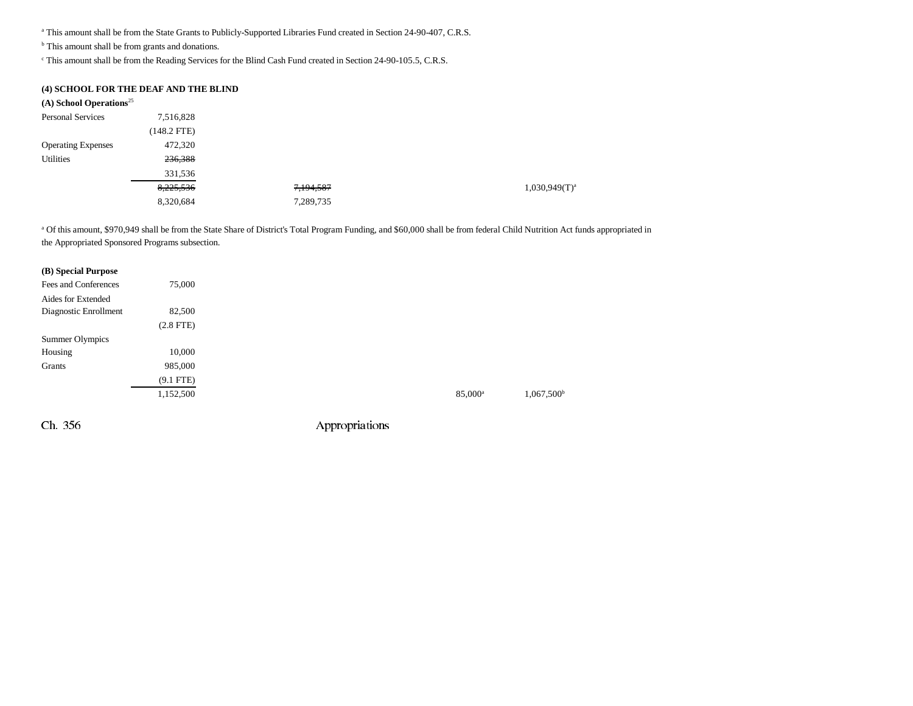a This amount shall be from the State Grants to Publicly-Supported Libraries Fund created in Section 24-90-407, C.R.S.

<sup>b</sup> This amount shall be from grants and donations.

c This amount shall be from the Reading Services for the Blind Cash Fund created in Section 24-90-105.5, C.R.S.

#### **(4) SCHOOL FOR THE DEAF AND THE BLIND**

| (A) School Operations <sup>25</sup> |               |           |                    |
|-------------------------------------|---------------|-----------|--------------------|
| <b>Personal Services</b>            | 7,516,828     |           |                    |
|                                     | $(148.2$ FTE) |           |                    |
| <b>Operating Expenses</b>           | 472,320       |           |                    |
| Utilities                           | 236,388       |           |                    |
|                                     | 331,536       |           |                    |
|                                     | 8,225,536     | 7,194,587 | $1,030,949(T)^{3}$ |
|                                     | 8,320,684     | 7,289,735 |                    |

a Of this amount, \$970,949 shall be from the State Share of District's Total Program Funding, and \$60,000 shall be from federal Child Nutrition Act funds appropriated in the Appropriated Sponsored Programs subsection.

#### **(B) Special Purpose**

| Fees and Conferences  | 75,000         |
|-----------------------|----------------|
| Aides for Extended    |                |
| Diagnostic Enrollment | 82,500         |
|                       | $(2.8$ FTE $)$ |
| Summer Olympics       |                |
| Housing               | 10,000         |
| Grants                | 985,000        |
|                       | $(9.1$ FTE)    |
|                       | 1,152,500      |
|                       |                |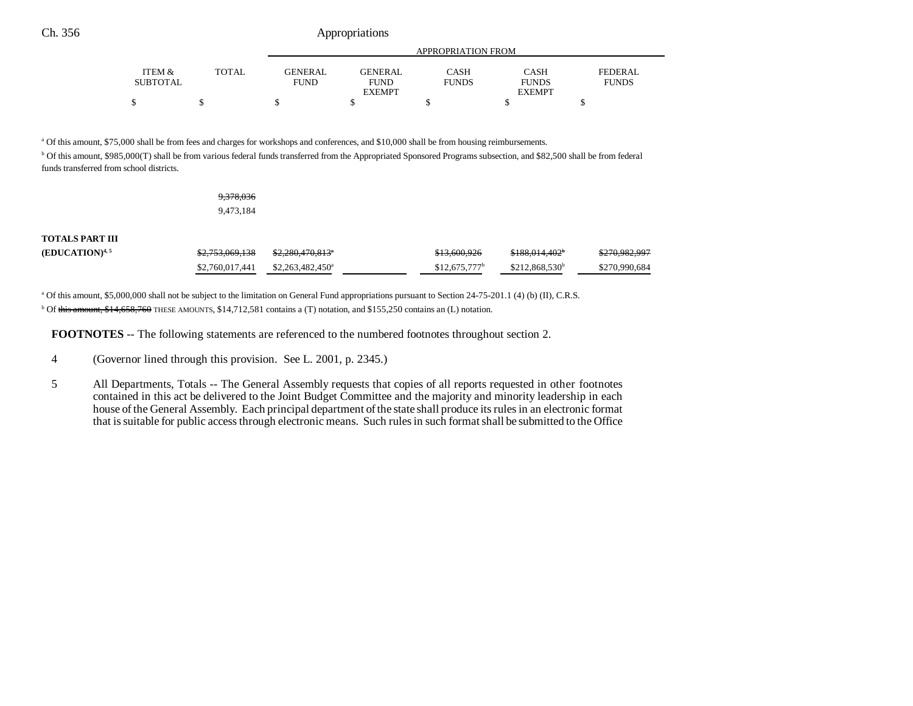|                   |              | APPROPRIATION FROM |                |              |               |                |  |
|-------------------|--------------|--------------------|----------------|--------------|---------------|----------------|--|
| <b>ITEM &amp;</b> | <b>TOTAL</b> | <b>GENERAL</b>     | <b>GENERAL</b> | <b>CASH</b>  | CASH          | <b>FEDERAL</b> |  |
| <b>SUBTOTAL</b>   |              | FUND               | FUND           | <b>FUNDS</b> | <b>FUNDS</b>  | <b>FUNDS</b>   |  |
|                   |              |                    | <b>EXEMPT</b>  |              | <b>EXEMPT</b> |                |  |
| Φ<br>╜            |              | - 12               |                |              |               |                |  |

a Of this amount, \$75,000 shall be from fees and charges for workshops and conferences, and \$10,000 shall be from housing reimbursements.

b Of this amount, \$985,000(T) shall be from various federal funds transferred from the Appropriated Sponsored Programs subsection, and \$82,500 shall be from federal funds transferred from school districts.

| <del>9,378,036</del> |
|----------------------|
| 9,473,184            |

**TOTALS PART III**

| $(EDUCATION)^{4,5}$ | \$2,753,069,138                                | \$2,280,470,813 <sup>a</sup> | \$13,600,926    | <del>\$188,014,402</del> * | <del>\$270,982,997</del> |
|---------------------|------------------------------------------------|------------------------------|-----------------|----------------------------|--------------------------|
|                     | $$2,760,017,441$ $$2,263,482,450$ <sup>a</sup> |                              | $$12.675.777^b$ | \$212,868,530 <sup>b</sup> | \$270,990,684            |

a Of this amount, \$5,000,000 shall not be subject to the limitation on General Fund appropriations pursuant to Section 24-75-201.1 (4) (b) (II), C.R.S.

b Of this amount, \$14,658,760 THESE AMOUNTS, \$14,712,581 contains a (T) notation, and \$155,250 contains an (L) notation.

**FOOTNOTES** -- The following statements are referenced to the numbered footnotes throughout section 2.

- 4 (Governor lined through this provision. See L. 2001, p. 2345.)
- 5 All Departments, Totals -- The General Assembly requests that copies of all reports requested in other footnotes contained in this act be delivered to the Joint Budget Committee and the majority and minority leadership in each house of the General Assembly. Each principal department of the state shall produce its rules in an electronic format that is suitable for public access through electronic means. Such rules in such format shall be submitted to the Office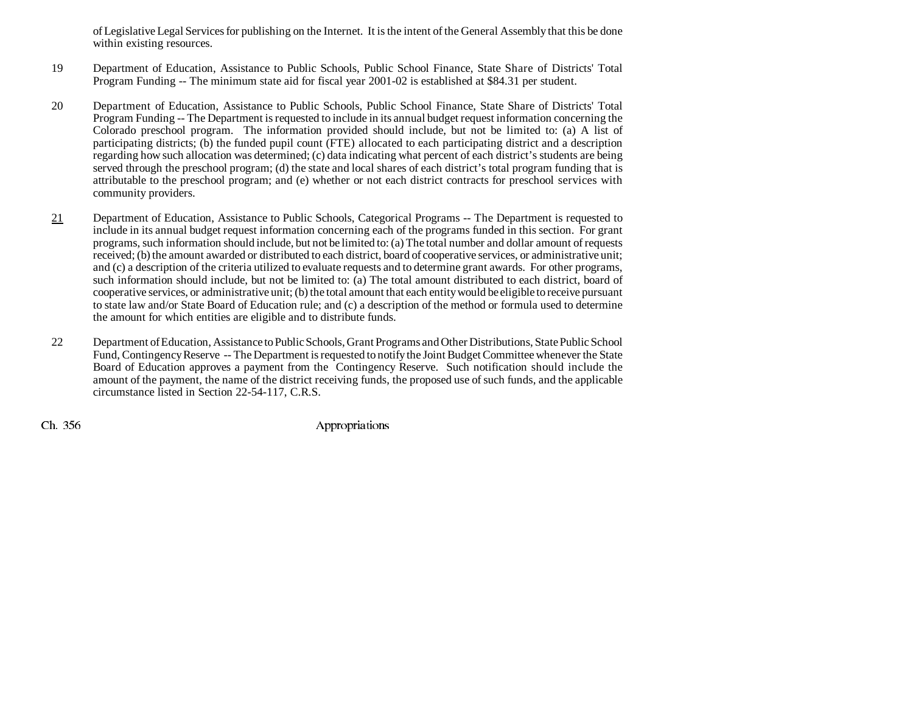of Legislative Legal Services for publishing on the Internet. It is the intent of the General Assembly that this be done within existing resources.

- 19 Department of Education, Assistance to Public Schools, Public School Finance, State Share of Districts' Total Program Funding -- The minimum state aid for fiscal year 2001-02 is established at \$84.31 per student.
- 20 Department of Education, Assistance to Public Schools, Public School Finance, State Share of Districts' Total Program Funding -- The Department is requested to include in its annual budget request information concerning the Colorado preschool program. The information provided should include, but not be limited to: (a) A list of participating districts; (b) the funded pupil count (FTE) allocated to each participating district and a description regarding how such allocation was determined; (c) data indicating what percent of each district's students are being served through the preschool program; (d) the state and local shares of each district's total program funding that is attributable to the preschool program; and (e) whether or not each district contracts for preschool services with community providers.
- 21 Department of Education, Assistance to Public Schools, Categorical Programs -- The Department is requested to include in its annual budget request information concerning each of the programs funded in this section. For grant programs, such information should include, but not be limited to: (a) The total number and dollar amount of requests received; (b) the amount awarded or distributed to each district, board of cooperative services, or administrative unit; and (c) a description of the criteria utilized to evaluate requests and to determine grant awards. For other programs, such information should include, but not be limited to: (a) The total amount distributed to each district, board of cooperative services, or administrative unit; (b) the total amount that each entity would be eligible to receive pursuant to state law and/or State Board of Education rule; and (c) a description of the method or formula used to determine the amount for which entities are eligible and to distribute funds.
- 22 Department of Education, Assistance to Public Schools, Grant Programs and Other Distributions, State Public School Fund, Contingency Reserve -- The Department is requested to notify the Joint Budget Committee whenever the State Board of Education approves a payment from the Contingency Reserve. Such notification should include the amount of the payment, the name of the district receiving funds, the proposed use of such funds, and the applicable circumstance listed in Section 22-54-117, C.R.S.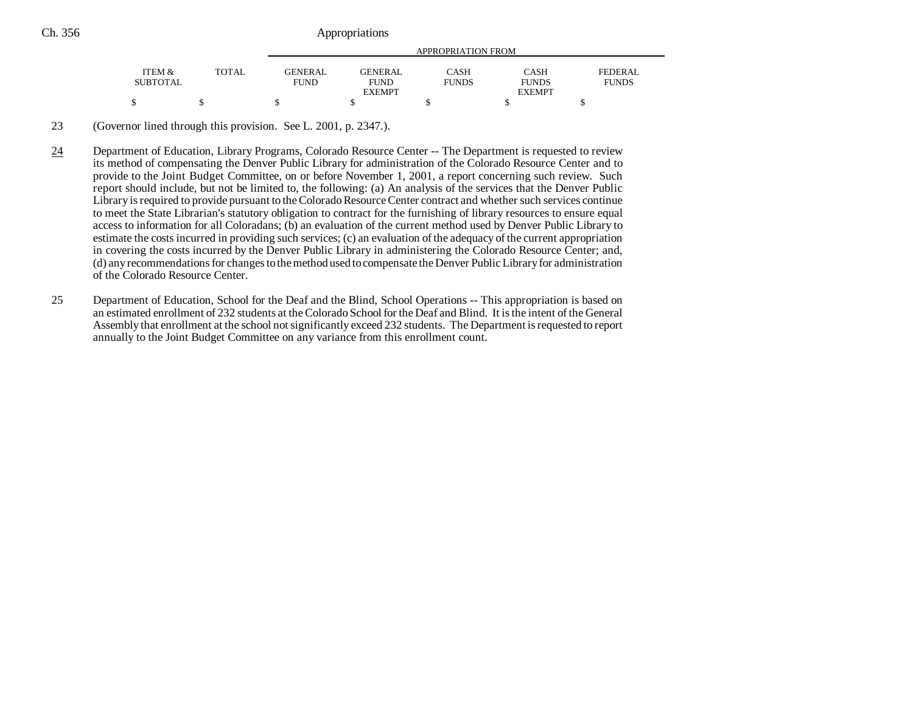| Ch. 356 |                           | Appropriations |                        |                                                |                      |                                       |                                |  |
|---------|---------------------------|----------------|------------------------|------------------------------------------------|----------------------|---------------------------------------|--------------------------------|--|
|         |                           |                |                        | APPROPRIATION FROM                             |                      |                                       |                                |  |
|         | ITEM &<br><b>SUBTOTAL</b> | TOTAL          | GENERAL<br><b>FUND</b> | <b>GENERAL</b><br><b>FUND</b><br><b>EXEMPT</b> | CASH<br><b>FUNDS</b> | CASH<br><b>FUNDS</b><br><b>EXEMPT</b> | <b>FEDERAL</b><br><b>FUNDS</b> |  |
|         |                           |                |                        |                                                |                      |                                       |                                |  |

23 (Governor lined through this provision. See L. 2001, p. 2347.).

24 Department of Education, Library Programs, Colorado Resource Center -- The Department is requested to review its method of compensating the Denver Public Library for administration of the Colorado Resource Center and to provide to the Joint Budget Committee, on or before November 1, 2001, a report concerning such review. Such report should include, but not be limited to, the following: (a) An analysis of the services that the Denver Public Library is required to provide pursuant to the Colorado Resource Center contract and whether such services continue to meet the State Librarian's statutory obligation to contract for the furnishing of library resources to ensure equal access to information for all Coloradans; (b) an evaluation of the current method used by Denver Public Library to estimate the costs incurred in providing such services; (c) an evaluation of the adequacy of the current appropriation in covering the costs incurred by the Denver Public Library in administering the Colorado Resource Center; and, (d) any recommendations for changes to the method used to compensate the Denver Public Library for administration of the Colorado Resource Center.

25 Department of Education, School for the Deaf and the Blind, School Operations -- This appropriation is based on an estimated enrollment of 232 students at the Colorado School for the Deaf and Blind. It is the intent of the General Assembly that enrollment at the school not significantly exceed 232 students. The Department is requested to report annually to the Joint Budget Committee on any variance from this enrollment count.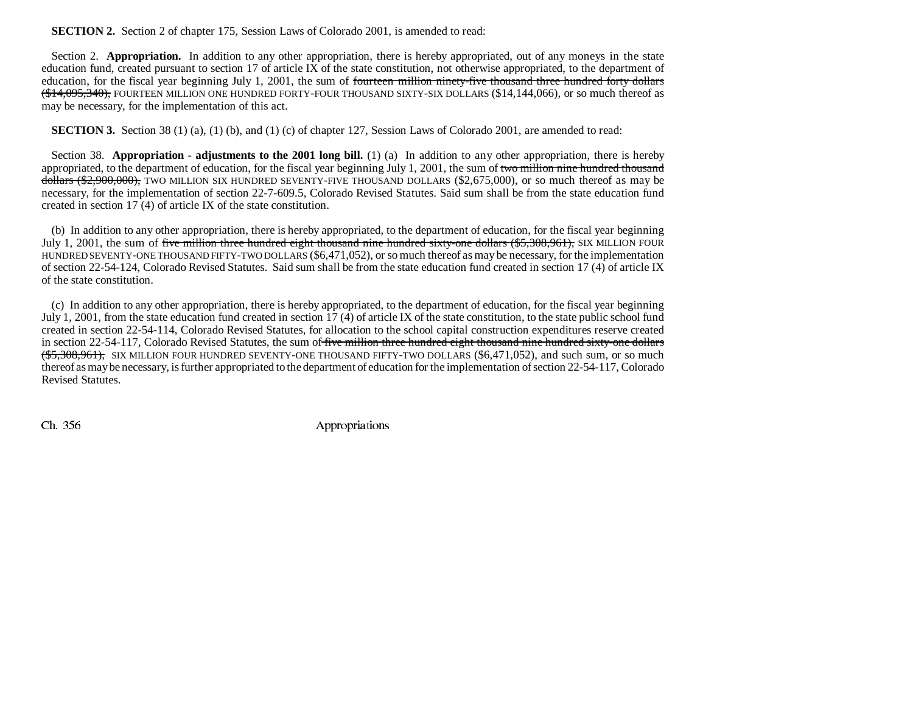## **SECTION 2.** Section 2 of chapter 175, Session Laws of Colorado 2001, is amended to read:

Section 2. **Appropriation.** In addition to any other appropriation, there is hereby appropriated, out of any moneys in the state education fund, created pursuant to section 17 of article IX of the state constitution, not otherwise appropriated, to the department of education, for the fiscal year beginning July 1, 2001, the sum of <del>fourteen million ninety-five thousand three hundred forty dollars</del> (\$14,095,340), FOURTEEN MILLION ONE HUNDRED FORTY-FOUR THOUSAND SIXTY-SIX DOLLARS (\$14,144,066), or so much thereof as may be necessary, for the implementation of this act.

**SECTION 3.** Section 38 (1) (a), (1) (b), and (1) (c) of chapter 127, Session Laws of Colorado 2001, are amended to read:

Section 38. **Appropriation - adjustments to the 2001 long bill.** (1) (a) In addition to any other appropriation, there is hereby appropriated, to the department of education, for the fiscal year beginning July 1, 2001, the sum of two million nine hundred thousand dollars (\$2,900,000), TWO MILLION SIX HUNDRED SEVENTY-FIVE THOUSAND DOLLARS (\$2,675,000), or so much thereof as may be necessary, for the implementation of section 22-7-609.5, Colorado Revised Statutes. Said sum shall be from the state education fund created in section 17 (4) of article IX of the state constitution.

(b) In addition to any other appropriation, there is hereby appropriated, to the department of education, for the fiscal year beginning July 1, 2001, the sum of five million three hundred eight thousand nine hundred sixty-one dollars (\$5,308,961), SIX MILLION FOUR HUNDRED SEVENTY-ONE THOUSAND FIFTY-TWO DOLLARS (\$6,471,052), or so much thereof as may be necessary, for the implementation of section 22-54-124, Colorado Revised Statutes. Said sum shall be from the state education fund created in section 17 (4) of article IX of the state constitution.

(c) In addition to any other appropriation, there is hereby appropriated, to the department of education, for the fiscal year beginning July 1, 2001, from the state education fund created in section 17 (4) of article IX of the state constitution, to the state public school fund created in section 22-54-114, Colorado Revised Statutes, for allocation to the school capital construction expenditures reserve created in section 22-54-117, Colorado Revised Statutes, the sum of five million three hundred eight thousand nine hundred sixty-one dollars (\$5,308,961), SIX MILLION FOUR HUNDRED SEVENTY-ONE THOUSAND FIFTY-TWO DOLLARS (\$6,471,052), and such sum, or so much thereof as may be necessary, is further appropriated to the department of education for the implementation of section 22-54-117, Colorado Revised Statutes.